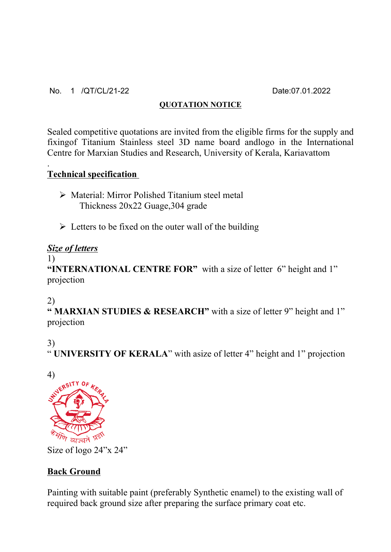#### No. 1 /QT/CL/21-22 Date:07.01.2022

#### **QUOTATION NOTICE**

Sealed competitive quotations are invited from the eligible firms for the supply and fixingof Titanium Stainless steel 3D name board andlogo in the International Centre for Marxian Studies and Research, University of Kerala, Kariavattom

## **Technical specification**

- Material: Mirror Polished Titanium steel metal Thickness 20x22 Guage,304 grade
- $\triangleright$  Letters to be fixed on the outer wall of the building

## *Size of letters*

#### 1)

.

**"INTERNATIONAL CENTRE FOR"** with a size of letter 6" height and 1" projection

## 2)

**" MARXIAN STUDIES & RESEARCH"** with a size of letter 9" height and 1" projection

# 3)

" **UNIVERSITY OF KERALA**" with asize of letter 4" height and 1" projection



Size of logo 24"x 24"

# **Back Ground**

Painting with suitable paint (preferably Synthetic enamel) to the existing wall of required back ground size after preparing the surface primary coat etc.